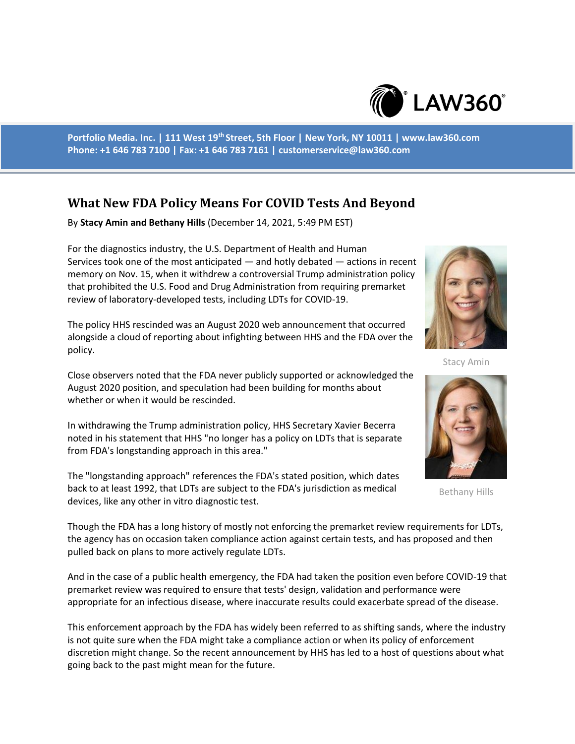

**Portfolio Media. Inc. | 111 West 19th Street, 5th Floor | New York, NY 10011 | www.law360.com Phone: +1 646 783 7100 | Fax: +1 646 783 7161 | customerservice@law360.com**

## **What New FDA Policy Means For COVID Tests And Beyond**

By **Stacy Amin and Bethany Hills** (December 14, 2021, 5:49 PM EST)

For the diagnostics industry, the U.S. Department of Health and Human Services took one of the most anticipated — and hotly debated — actions in recent memory on Nov. 15, when it withdrew a controversial Trump administration policy that prohibited the U.S. Food and Drug Administration from requiring premarket review of laboratory-developed tests, including LDTs for COVID-19.

The policy HHS rescinded was an August 2020 web announcement that occurred alongside a cloud of reporting about infighting between HHS and the FDA over the policy.



Stacy Amin

Close observers noted that the FDA never publicly supported or acknowledged the August 2020 position, and speculation had been building for months about whether or when it would be rescinded.

In withdrawing the Trump administration policy, HHS Secretary Xavier Becerra noted in his statement that HHS "no longer has a policy on LDTs that is separate from FDA's longstanding approach in this area."

The "longstanding approach" references the FDA's stated position, which dates back to at least 1992, that LDTs are subject to the FDA's jurisdiction as medical devices, like any other in vitro diagnostic test.



Bethany Hills

Though the FDA has a long history of mostly not enforcing the premarket review requirements for LDTs, the agency has on occasion taken compliance action against certain tests, and has proposed and then pulled back on plans to more actively regulate LDTs.

And in the case of a public health emergency, the FDA had taken the position even before COVID-19 that premarket review was required to ensure that tests' design, validation and performance were appropriate for an infectious disease, where inaccurate results could exacerbate spread of the disease.

This enforcement approach by the FDA has widely been referred to as shifting sands, where the industry is not quite sure when the FDA might take a compliance action or when its policy of enforcement discretion might change. So the recent announcement by HHS has led to a host of questions about what going back to the past might mean for the future.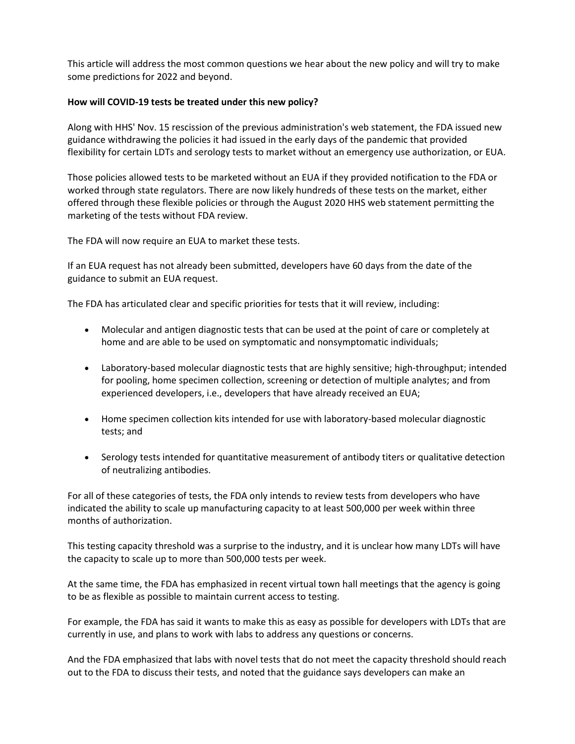This article will address the most common questions we hear about the new policy and will try to make some predictions for 2022 and beyond.

## **How will COVID-19 tests be treated under this new policy?**

Along with HHS' Nov. 15 rescission of the previous administration's web statement, the FDA issued new guidance withdrawing the policies it had issued in the early days of the pandemic that provided flexibility for certain LDTs and serology tests to market without an emergency use authorization, or EUA.

Those policies allowed tests to be marketed without an EUA if they provided notification to the FDA or worked through state regulators. There are now likely hundreds of these tests on the market, either offered through these flexible policies or through the August 2020 HHS web statement permitting the marketing of the tests without FDA review.

The FDA will now require an EUA to market these tests.

If an EUA request has not already been submitted, developers have 60 days from the date of the guidance to submit an EUA request.

The FDA has articulated clear and specific priorities for tests that it will review, including:

- Molecular and antigen diagnostic tests that can be used at the point of care or completely at home and are able to be used on symptomatic and nonsymptomatic individuals;
- Laboratory-based molecular diagnostic tests that are highly sensitive; high-throughput; intended for pooling, home specimen collection, screening or detection of multiple analytes; and from experienced developers, i.e., developers that have already received an EUA;
- Home specimen collection kits intended for use with laboratory-based molecular diagnostic tests; and
- Serology tests intended for quantitative measurement of antibody titers or qualitative detection of neutralizing antibodies.

For all of these categories of tests, the FDA only intends to review tests from developers who have indicated the ability to scale up manufacturing capacity to at least 500,000 per week within three months of authorization.

This testing capacity threshold was a surprise to the industry, and it is unclear how many LDTs will have the capacity to scale up to more than 500,000 tests per week.

At the same time, the FDA has emphasized in recent virtual town hall meetings that the agency is going to be as flexible as possible to maintain current access to testing.

For example, the FDA has said it wants to make this as easy as possible for developers with LDTs that are currently in use, and plans to work with labs to address any questions or concerns.

And the FDA emphasized that labs with novel tests that do not meet the capacity threshold should reach out to the FDA to discuss their tests, and noted that the guidance says developers can make an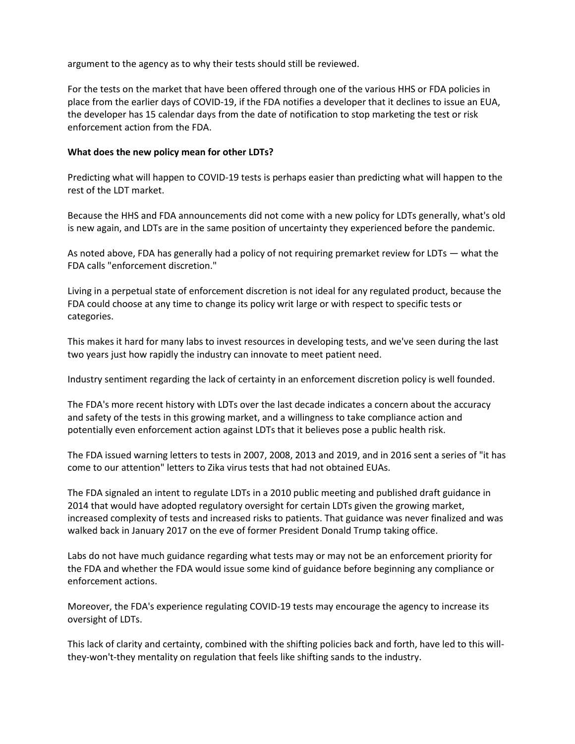argument to the agency as to why their tests should still be reviewed.

For the tests on the market that have been offered through one of the various HHS or FDA policies in place from the earlier days of COVID-19, if the FDA notifies a developer that it declines to issue an EUA, the developer has 15 calendar days from the date of notification to stop marketing the test or risk enforcement action from the FDA.

## **What does the new policy mean for other LDTs?**

Predicting what will happen to COVID-19 tests is perhaps easier than predicting what will happen to the rest of the LDT market.

Because the HHS and FDA announcements did not come with a new policy for LDTs generally, what's old is new again, and LDTs are in the same position of uncertainty they experienced before the pandemic.

As noted above, FDA has generally had a policy of not requiring premarket review for LDTs — what the FDA calls "enforcement discretion."

Living in a perpetual state of enforcement discretion is not ideal for any regulated product, because the FDA could choose at any time to change its policy writ large or with respect to specific tests or categories.

This makes it hard for many labs to invest resources in developing tests, and we've seen during the last two years just how rapidly the industry can innovate to meet patient need.

Industry sentiment regarding the lack of certainty in an enforcement discretion policy is well founded.

The FDA's more recent history with LDTs over the last decade indicates a concern about the accuracy and safety of the tests in this growing market, and a willingness to take compliance action and potentially even enforcement action against LDTs that it believes pose a public health risk.

The FDA issued warning letters to tests in 2007, 2008, 2013 and 2019, and in 2016 sent a series of "it has come to our attention" letters to Zika virus tests that had not obtained EUAs.

The FDA signaled an intent to regulate LDTs in a 2010 public meeting and published draft guidance in 2014 that would have adopted regulatory oversight for certain LDTs given the growing market, increased complexity of tests and increased risks to patients. That guidance was never finalized and was walked back in January 2017 on the eve of former President Donald Trump taking office.

Labs do not have much guidance regarding what tests may or may not be an enforcement priority for the FDA and whether the FDA would issue some kind of guidance before beginning any compliance or enforcement actions.

Moreover, the FDA's experience regulating COVID-19 tests may encourage the agency to increase its oversight of LDTs.

This lack of clarity and certainty, combined with the shifting policies back and forth, have led to this willthey-won't-they mentality on regulation that feels like shifting sands to the industry.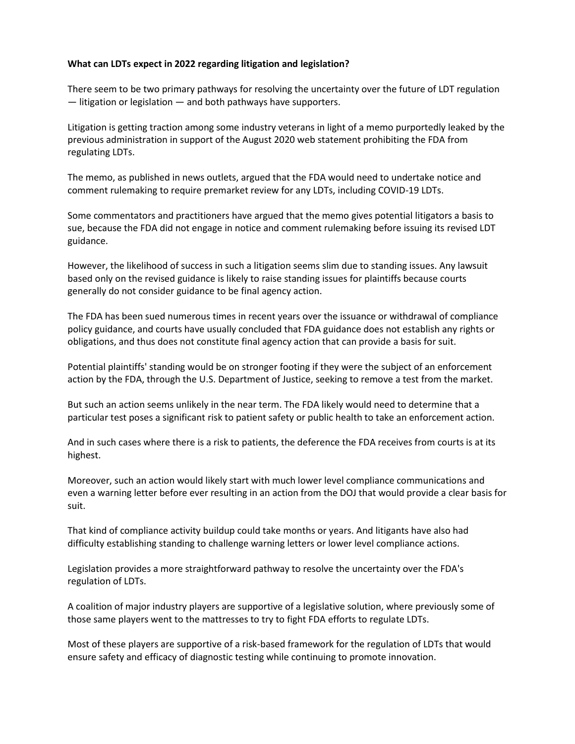## **What can LDTs expect in 2022 regarding litigation and legislation?**

There seem to be two primary pathways for resolving the uncertainty over the future of LDT regulation — litigation or legislation — and both pathways have supporters.

Litigation is getting traction among some industry veterans in light of a memo purportedly leaked by the previous administration in support of the August 2020 web statement prohibiting the FDA from regulating LDTs.

The memo, as published in news outlets, argued that the FDA would need to undertake notice and comment rulemaking to require premarket review for any LDTs, including COVID-19 LDTs.

Some commentators and practitioners have argued that the memo gives potential litigators a basis to sue, because the FDA did not engage in notice and comment rulemaking before issuing its revised LDT guidance.

However, the likelihood of success in such a litigation seems slim due to standing issues. Any lawsuit based only on the revised guidance is likely to raise standing issues for plaintiffs because courts generally do not consider guidance to be final agency action.

The FDA has been sued numerous times in recent years over the issuance or withdrawal of compliance policy guidance, and courts have usually concluded that FDA guidance does not establish any rights or obligations, and thus does not constitute final agency action that can provide a basis for suit.

Potential plaintiffs' standing would be on stronger footing if they were the subject of an enforcement action by the FDA, through the U.S. Department of Justice, seeking to remove a test from the market.

But such an action seems unlikely in the near term. The FDA likely would need to determine that a particular test poses a significant risk to patient safety or public health to take an enforcement action.

And in such cases where there is a risk to patients, the deference the FDA receives from courts is at its highest.

Moreover, such an action would likely start with much lower level compliance communications and even a warning letter before ever resulting in an action from the DOJ that would provide a clear basis for suit.

That kind of compliance activity buildup could take months or years. And litigants have also had difficulty establishing standing to challenge warning letters or lower level compliance actions.

Legislation provides a more straightforward pathway to resolve the uncertainty over the FDA's regulation of LDTs.

A coalition of major industry players are supportive of a legislative solution, where previously some of those same players went to the mattresses to try to fight FDA efforts to regulate LDTs.

Most of these players are supportive of a risk-based framework for the regulation of LDTs that would ensure safety and efficacy of diagnostic testing while continuing to promote innovation.